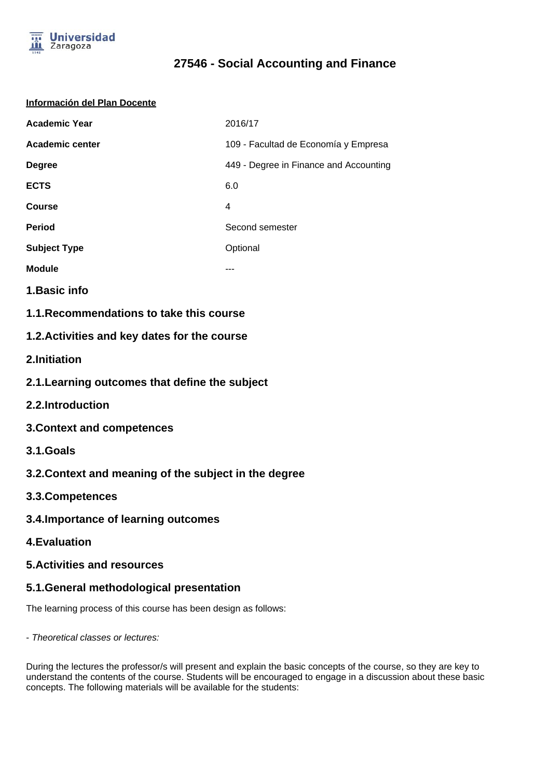

# **27546 - Social Accounting and Finance**

#### **Información del Plan Docente**

| <b>Academic Year</b>   | 2016/17                                |  |
|------------------------|----------------------------------------|--|
| <b>Academic center</b> | 109 - Facultad de Economía y Empresa   |  |
| <b>Degree</b>          | 449 - Degree in Finance and Accounting |  |
| <b>ECTS</b>            | 6.0                                    |  |
| Course                 | 4                                      |  |
| <b>Period</b>          | Second semester                        |  |
| <b>Subject Type</b>    | Optional                               |  |
| <b>Module</b>          |                                        |  |

**1.Basic info**

**1.1.Recommendations to take this course**

## **1.2.Activities and key dates for the course**

- **2.Initiation**
- **2.1.Learning outcomes that define the subject**
- **2.2.Introduction**
- **3.Context and competences**
- **3.1.Goals**
- **3.2.Context and meaning of the subject in the degree**
- **3.3.Competences**
- **3.4.Importance of learning outcomes**
- **4.Evaluation**

### **5.Activities and resources**

### **5.1.General methodological presentation**

The learning process of this course has been design as follows:

- Theoretical classes or lectures:

During the lectures the professor/s will present and explain the basic concepts of the course, so they are key to understand the contents of the course. Students will be encouraged to engage in a discussion about these basic concepts. The following materials will be available for the students: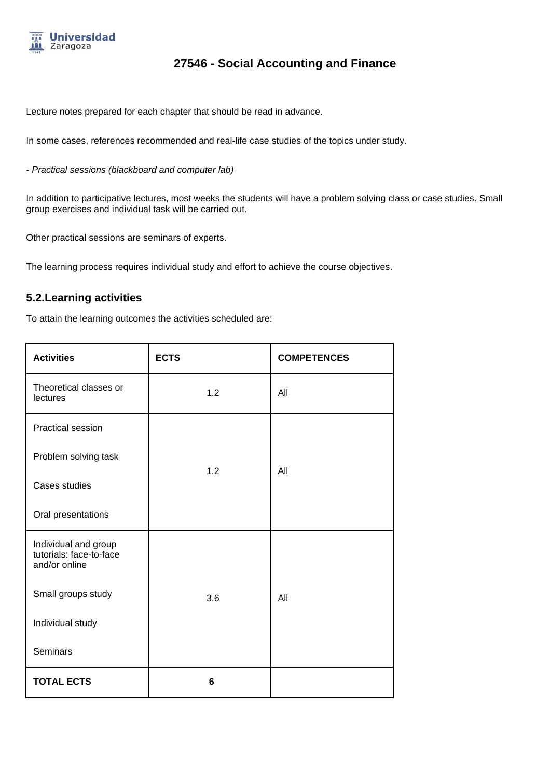

# **27546 - Social Accounting and Finance**

Lecture notes prepared for each chapter that should be read in advance.

In some cases, references recommended and real-life case studies of the topics under study.

- Practical sessions (blackboard and computer lab)

In addition to participative lectures, most weeks the students will have a problem solving class or case studies. Small group exercises and individual task will be carried out.

Other practical sessions are seminars of experts.

The learning process requires individual study and effort to achieve the course objectives.

### **5.2.Learning activities**

To attain the learning outcomes the activities scheduled are:

| <b>Activities</b>                                                | <b>ECTS</b> | <b>COMPETENCES</b> |
|------------------------------------------------------------------|-------------|--------------------|
| Theoretical classes or<br>lectures                               | 1.2         | All                |
| <b>Practical session</b>                                         |             |                    |
| Problem solving task                                             |             |                    |
| Cases studies                                                    | 1.2         | All                |
| Oral presentations                                               |             |                    |
| Individual and group<br>tutorials: face-to-face<br>and/or online |             |                    |
| Small groups study                                               | 3.6         | All                |
| Individual study                                                 |             |                    |
| <b>Seminars</b>                                                  |             |                    |
| <b>TOTAL ECTS</b>                                                | 6           |                    |